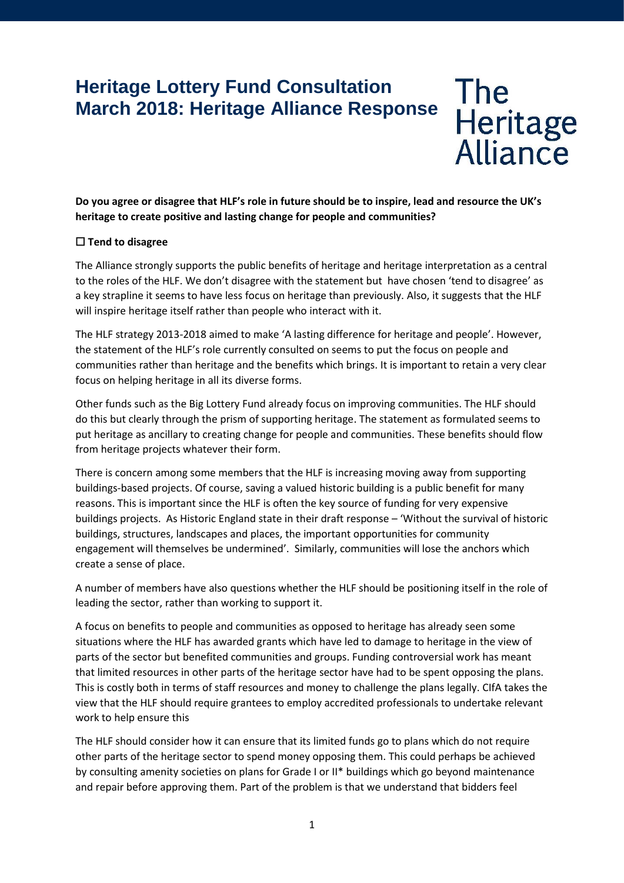# **Heritage Lottery Fund Consultation March 2018: Heritage Alliance Response**

The<br>Heritage<br>Alliance

**Do you agree or disagree that HLF's role in future should be to inspire, lead and resource the UK's heritage to create positive and lasting change for people and communities?** 

# ☐ **Tend to disagree**

The Alliance strongly supports the public benefits of heritage and heritage interpretation as a central to the roles of the HLF. We don't disagree with the statement but have chosen 'tend to disagree' as a key strapline it seems to have less focus on heritage than previously. Also, it suggests that the HLF will inspire heritage itself rather than people who interact with it.

The HLF strategy 2013-2018 aimed to make 'A lasting difference for heritage and people'. However, the statement of the HLF's role currently consulted on seems to put the focus on people and communities rather than heritage and the benefits which brings. It is important to retain a very clear focus on helping heritage in all its diverse forms.

Other funds such as the Big Lottery Fund already focus on improving communities. The HLF should do this but clearly through the prism of supporting heritage. The statement as formulated seems to put heritage as ancillary to creating change for people and communities. These benefits should flow from heritage projects whatever their form.

There is concern among some members that the HLF is increasing moving away from supporting buildings-based projects. Of course, saving a valued historic building is a public benefit for many reasons. This is important since the HLF is often the key source of funding for very expensive buildings projects. As Historic England state in their draft response – 'Without the survival of historic buildings, structures, landscapes and places, the important opportunities for community engagement will themselves be undermined'. Similarly, communities will lose the anchors which create a sense of place.

A number of members have also questions whether the HLF should be positioning itself in the role of leading the sector, rather than working to support it.

A focus on benefits to people and communities as opposed to heritage has already seen some situations where the HLF has awarded grants which have led to damage to heritage in the view of parts of the sector but benefited communities and groups. Funding controversial work has meant that limited resources in other parts of the heritage sector have had to be spent opposing the plans. This is costly both in terms of staff resources and money to challenge the plans legally. CIfA takes the view that the HLF should require grantees to employ accredited professionals to undertake relevant work to help ensure this

The HLF should consider how it can ensure that its limited funds go to plans which do not require other parts of the heritage sector to spend money opposing them. This could perhaps be achieved by consulting amenity societies on plans for Grade I or II\* buildings which go beyond maintenance and repair before approving them. Part of the problem is that we understand that bidders feel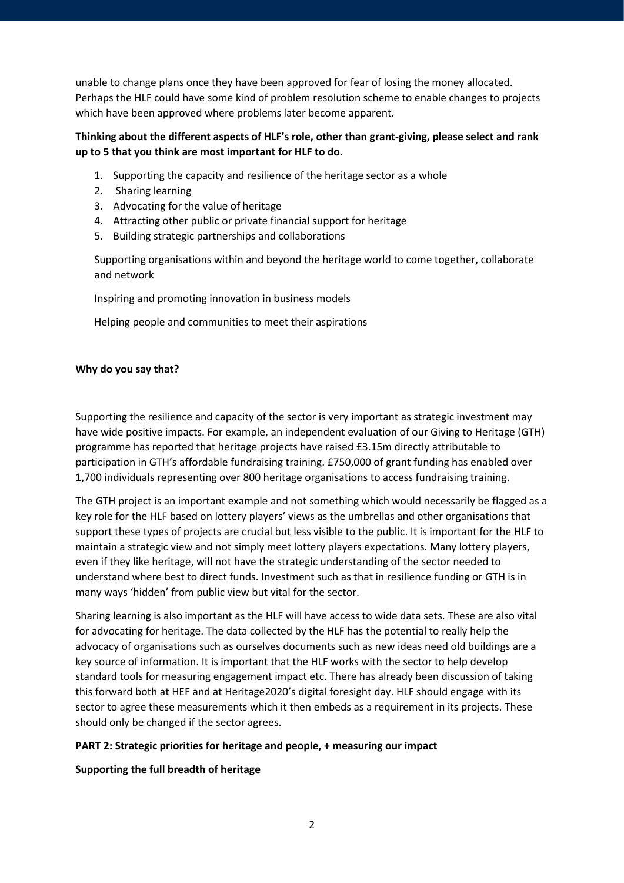unable to change plans once they have been approved for fear of losing the money allocated. Perhaps the HLF could have some kind of problem resolution scheme to enable changes to projects which have been approved where problems later become apparent.

# **Thinking about the different aspects of HLF's role, other than grant-giving, please select and rank up to 5 that you think are most important for HLF to do**.

- 1. Supporting the capacity and resilience of the heritage sector as a whole
- 2. Sharing learning
- 3. Advocating for the value of heritage
- 4. Attracting other public or private financial support for heritage
- 5. Building strategic partnerships and collaborations

Supporting organisations within and beyond the heritage world to come together, collaborate and network

Inspiring and promoting innovation in business models

Helping people and communities to meet their aspirations

## **Why do you say that?**

Supporting the resilience and capacity of the sector is very important as strategic investment may have wide positive impacts. For example, an independent evaluation of our Giving to Heritage (GTH) programme has reported that heritage projects have raised £3.15m directly attributable to participation in GTH's affordable fundraising training. £750,000 of grant funding has enabled over 1,700 individuals representing over 800 heritage organisations to access fundraising training.

The GTH project is an important example and not something which would necessarily be flagged as a key role for the HLF based on lottery players' views as the umbrellas and other organisations that support these types of projects are crucial but less visible to the public. It is important for the HLF to maintain a strategic view and not simply meet lottery players expectations. Many lottery players, even if they like heritage, will not have the strategic understanding of the sector needed to understand where best to direct funds. Investment such as that in resilience funding or GTH is in many ways 'hidden' from public view but vital for the sector.

Sharing learning is also important as the HLF will have access to wide data sets. These are also vital for advocating for heritage. The data collected by the HLF has the potential to really help the advocacy of organisations such as ourselves documents such as new ideas need old buildings are a key source of information. It is important that the HLF works with the sector to help develop standard tools for measuring engagement impact etc. There has already been discussion of taking this forward both at HEF and at Heritage2020's digital foresight day. HLF should engage with its sector to agree these measurements which it then embeds as a requirement in its projects. These should only be changed if the sector agrees.

## **PART 2: Strategic priorities for heritage and people, + measuring our impact**

## **Supporting the full breadth of heritage**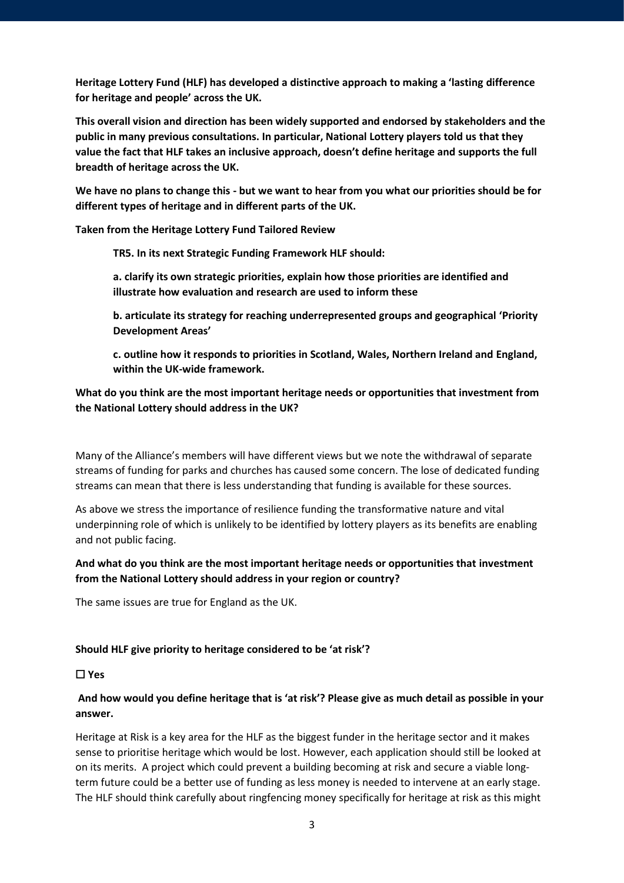**Heritage Lottery Fund (HLF) has developed a distinctive approach to making a 'lasting difference for heritage and people' across the UK.**

**This overall vision and direction has been widely supported and endorsed by stakeholders and the public in many previous consultations. In particular, National Lottery players told us that they value the fact that HLF takes an inclusive approach, doesn't define heritage and supports the full breadth of heritage across the UK.**

**We have no plans to change this - but we want to hear from you what our priorities should be for different types of heritage and in different parts of the UK.**

**Taken from the Heritage Lottery Fund Tailored Review**

**TR5. In its next Strategic Funding Framework HLF should:**

- **a. clarify its own strategic priorities, explain how those priorities are identified and illustrate how evaluation and research are used to inform these**
- **b. articulate its strategy for reaching underrepresented groups and geographical 'Priority Development Areas'**
- **c. outline how it responds to priorities in Scotland, Wales, Northern Ireland and England, within the UK-wide framework.**

# **What do you think are the most important heritage needs or opportunities that investment from the National Lottery should address in the UK?**

Many of the Alliance's members will have different views but we note the withdrawal of separate streams of funding for parks and churches has caused some concern. The lose of dedicated funding streams can mean that there is less understanding that funding is available for these sources.

As above we stress the importance of resilience funding the transformative nature and vital underpinning role of which is unlikely to be identified by lottery players as its benefits are enabling and not public facing.

# **And what do you think are the most important heritage needs or opportunities that investment from the National Lottery should address in your region or country?**

The same issues are true for England as the UK.

## **Should HLF give priority to heritage considered to be 'at risk'?**

## ☐ **Yes**

# **And how would you define heritage that is 'at risk'? Please give as much detail as possible in your answer.**

Heritage at Risk is a key area for the HLF as the biggest funder in the heritage sector and it makes sense to prioritise heritage which would be lost. However, each application should still be looked at on its merits. A project which could prevent a building becoming at risk and secure a viable longterm future could be a better use of funding as less money is needed to intervene at an early stage. The HLF should think carefully about ringfencing money specifically for heritage at risk as this might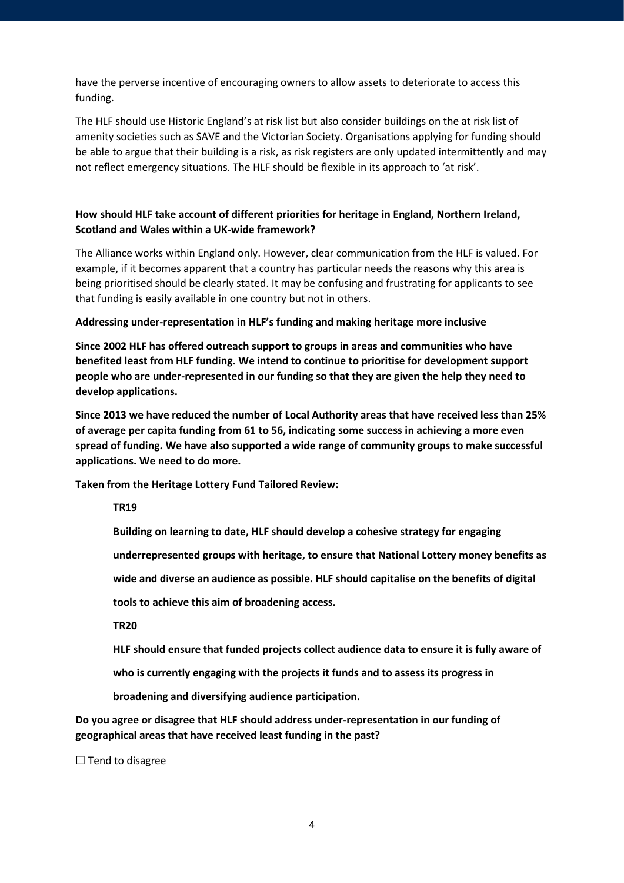have the perverse incentive of encouraging owners to allow assets to deteriorate to access this funding.

The HLF should use Historic England's at risk list but also consider buildings on the at risk list of amenity societies such as SAVE and the Victorian Society. Organisations applying for funding should be able to argue that their building is a risk, as risk registers are only updated intermittently and may not reflect emergency situations. The HLF should be flexible in its approach to 'at risk'.

# **How should HLF take account of different priorities for heritage in England, Northern Ireland, Scotland and Wales within a UK-wide framework?**

The Alliance works within England only. However, clear communication from the HLF is valued. For example, if it becomes apparent that a country has particular needs the reasons why this area is being prioritised should be clearly stated. It may be confusing and frustrating for applicants to see that funding is easily available in one country but not in others.

## **Addressing under-representation in HLF's funding and making heritage more inclusive**

**Since 2002 HLF has offered outreach support to groups in areas and communities who have benefited least from HLF funding. We intend to continue to prioritise for development support people who are under-represented in our funding so that they are given the help they need to develop applications.**

**Since 2013 we have reduced the number of Local Authority areas that have received less than 25% of average per capita funding from 61 to 56, indicating some success in achieving a more even spread of funding. We have also supported a wide range of community groups to make successful applications. We need to do more.**

**Taken from the Heritage Lottery Fund Tailored Review:**

**TR19**

**Building on learning to date, HLF should develop a cohesive strategy for engaging**

**underrepresented groups with heritage, to ensure that National Lottery money benefits as**

**wide and diverse an audience as possible. HLF should capitalise on the benefits of digital**

**tools to achieve this aim of broadening access.**

**TR20**

**HLF should ensure that funded projects collect audience data to ensure it is fully aware of**

**who is currently engaging with the projects it funds and to assess its progress in**

**broadening and diversifying audience participation.**

**Do you agree or disagree that HLF should address under-representation in our funding of geographical areas that have received least funding in the past?**

 $\Box$  Tend to disagree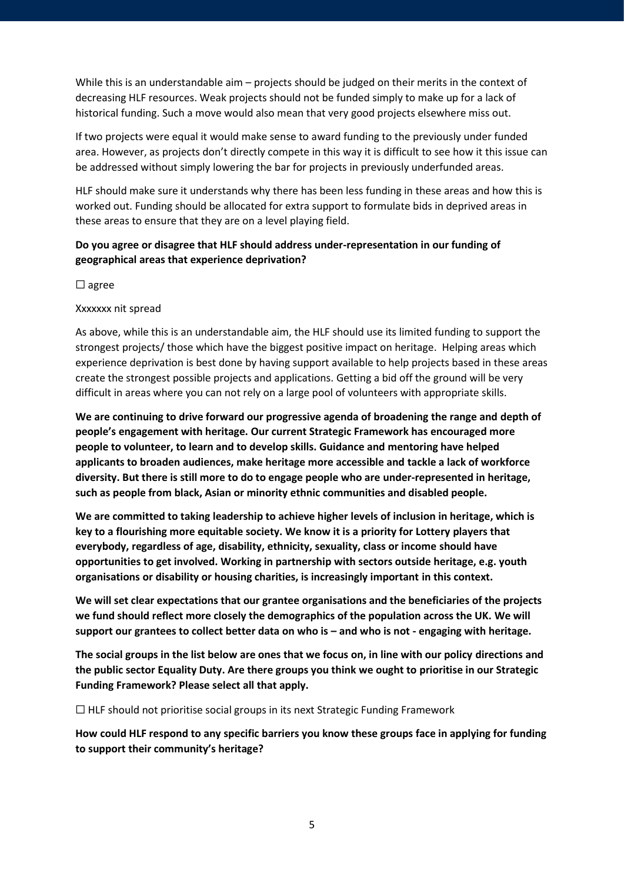While this is an understandable aim – projects should be judged on their merits in the context of decreasing HLF resources. Weak projects should not be funded simply to make up for a lack of historical funding. Such a move would also mean that very good projects elsewhere miss out.

If two projects were equal it would make sense to award funding to the previously under funded area. However, as projects don't directly compete in this way it is difficult to see how it this issue can be addressed without simply lowering the bar for projects in previously underfunded areas.

HLF should make sure it understands why there has been less funding in these areas and how this is worked out. Funding should be allocated for extra support to formulate bids in deprived areas in these areas to ensure that they are on a level playing field.

# **Do you agree or disagree that HLF should address under-representation in our funding of geographical areas that experience deprivation?**

☐ agree

Xxxxxxx nit spread

As above, while this is an understandable aim, the HLF should use its limited funding to support the strongest projects/ those which have the biggest positive impact on heritage. Helping areas which experience deprivation is best done by having support available to help projects based in these areas create the strongest possible projects and applications. Getting a bid off the ground will be very difficult in areas where you can not rely on a large pool of volunteers with appropriate skills.

**We are continuing to drive forward our progressive agenda of broadening the range and depth of people's engagement with heritage. Our current Strategic Framework has encouraged more people to volunteer, to learn and to develop skills. Guidance and mentoring have helped applicants to broaden audiences, make heritage more accessible and tackle a lack of workforce diversity. But there is still more to do to engage people who are under-represented in heritage, such as people from black, Asian or minority ethnic communities and disabled people.**

**We are committed to taking leadership to achieve higher levels of inclusion in heritage, which is key to a flourishing more equitable society. We know it is a priority for Lottery players that everybody, regardless of age, disability, ethnicity, sexuality, class or income should have opportunities to get involved. Working in partnership with sectors outside heritage, e.g. youth organisations or disability or housing charities, is increasingly important in this context.**

**We will set clear expectations that our grantee organisations and the beneficiaries of the projects we fund should reflect more closely the demographics of the population across the UK. We will support our grantees to collect better data on who is – and who is not - engaging with heritage.**

**The social groups in the list below are ones that we focus on, in line with our policy directions and the public sector Equality Duty. Are there groups you think we ought to prioritise in our Strategic Funding Framework? Please select all that apply.**

☐ HLF should not prioritise social groups in its next Strategic Funding Framework

**How could HLF respond to any specific barriers you know these groups face in applying for funding to support their community's heritage?**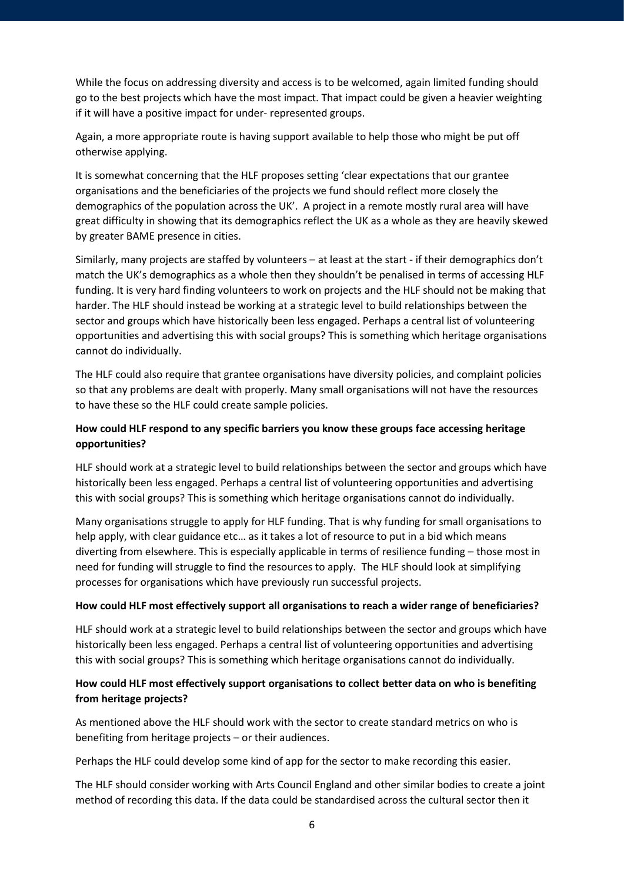While the focus on addressing diversity and access is to be welcomed, again limited funding should go to the best projects which have the most impact. That impact could be given a heavier weighting if it will have a positive impact for under- represented groups.

Again, a more appropriate route is having support available to help those who might be put off otherwise applying.

It is somewhat concerning that the HLF proposes setting 'clear expectations that our grantee organisations and the beneficiaries of the projects we fund should reflect more closely the demographics of the population across the UK'. A project in a remote mostly rural area will have great difficulty in showing that its demographics reflect the UK as a whole as they are heavily skewed by greater BAME presence in cities.

Similarly, many projects are staffed by volunteers – at least at the start - if their demographics don't match the UK's demographics as a whole then they shouldn't be penalised in terms of accessing HLF funding. It is very hard finding volunteers to work on projects and the HLF should not be making that harder. The HLF should instead be working at a strategic level to build relationships between the sector and groups which have historically been less engaged. Perhaps a central list of volunteering opportunities and advertising this with social groups? This is something which heritage organisations cannot do individually.

The HLF could also require that grantee organisations have diversity policies, and complaint policies so that any problems are dealt with properly. Many small organisations will not have the resources to have these so the HLF could create sample policies.

# **How could HLF respond to any specific barriers you know these groups face accessing heritage opportunities?**

HLF should work at a strategic level to build relationships between the sector and groups which have historically been less engaged. Perhaps a central list of volunteering opportunities and advertising this with social groups? This is something which heritage organisations cannot do individually.

Many organisations struggle to apply for HLF funding. That is why funding for small organisations to help apply, with clear guidance etc… as it takes a lot of resource to put in a bid which means diverting from elsewhere. This is especially applicable in terms of resilience funding – those most in need for funding will struggle to find the resources to apply. The HLF should look at simplifying processes for organisations which have previously run successful projects.

## **How could HLF most effectively support all organisations to reach a wider range of beneficiaries?**

HLF should work at a strategic level to build relationships between the sector and groups which have historically been less engaged. Perhaps a central list of volunteering opportunities and advertising this with social groups? This is something which heritage organisations cannot do individually.

# **How could HLF most effectively support organisations to collect better data on who is benefiting from heritage projects?**

As mentioned above the HLF should work with the sector to create standard metrics on who is benefiting from heritage projects – or their audiences.

Perhaps the HLF could develop some kind of app for the sector to make recording this easier.

The HLF should consider working with Arts Council England and other similar bodies to create a joint method of recording this data. If the data could be standardised across the cultural sector then it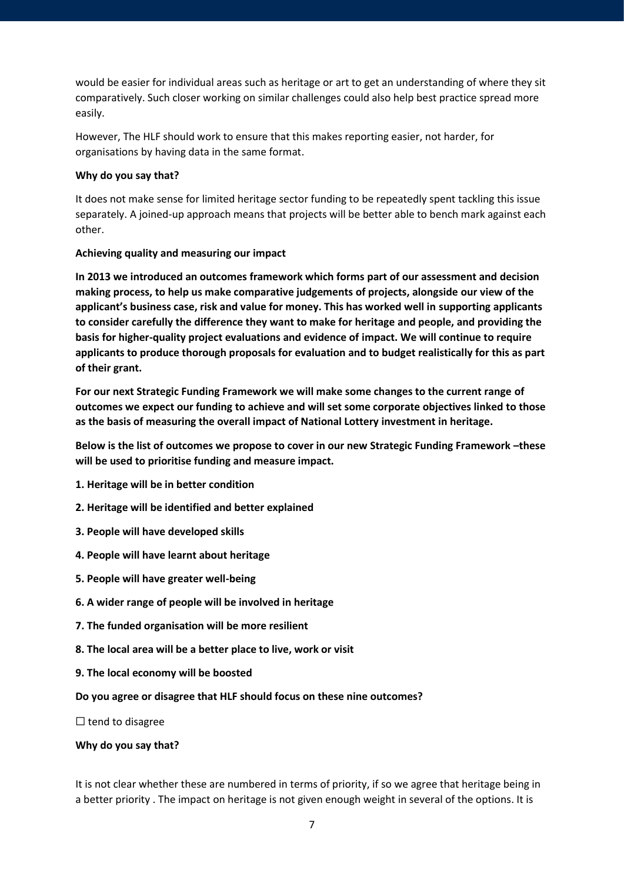would be easier for individual areas such as heritage or art to get an understanding of where they sit comparatively. Such closer working on similar challenges could also help best practice spread more easily.

However, The HLF should work to ensure that this makes reporting easier, not harder, for organisations by having data in the same format.

## **Why do you say that?**

It does not make sense for limited heritage sector funding to be repeatedly spent tackling this issue separately. A joined-up approach means that projects will be better able to bench mark against each other.

## **Achieving quality and measuring our impact**

**In 2013 we introduced an outcomes framework which forms part of our assessment and decision making process, to help us make comparative judgements of projects, alongside our view of the applicant's business case, risk and value for money. This has worked well in supporting applicants to consider carefully the difference they want to make for heritage and people, and providing the basis for higher-quality project evaluations and evidence of impact. We will continue to require applicants to produce thorough proposals for evaluation and to budget realistically for this as part of their grant.**

**For our next Strategic Funding Framework we will make some changes to the current range of outcomes we expect our funding to achieve and will set some corporate objectives linked to those as the basis of measuring the overall impact of National Lottery investment in heritage.**

**Below is the list of outcomes we propose to cover in our new Strategic Funding Framework –these will be used to prioritise funding and measure impact.**

- **1. Heritage will be in better condition**
- **2. Heritage will be identified and better explained**
- **3. People will have developed skills**
- **4. People will have learnt about heritage**
- **5. People will have greater well-being**
- **6. A wider range of people will be involved in heritage**
- **7. The funded organisation will be more resilient**
- **8. The local area will be a better place to live, work or visit**
- **9. The local economy will be boosted**

## **Do you agree or disagree that HLF should focus on these nine outcomes?**

 $\Box$  tend to disagree

## **Why do you say that?**

It is not clear whether these are numbered in terms of priority, if so we agree that heritage being in a better priority . The impact on heritage is not given enough weight in several of the options. It is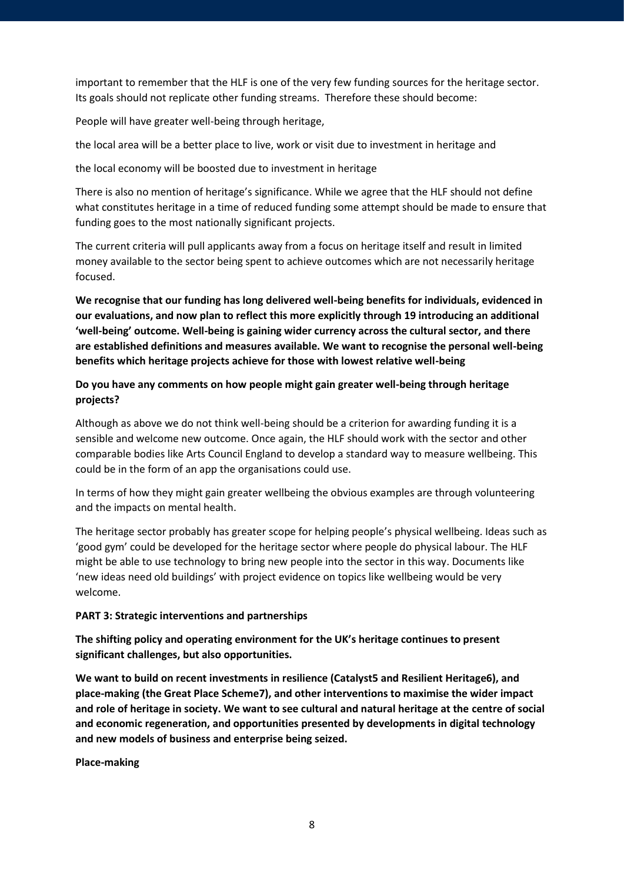important to remember that the HLF is one of the very few funding sources for the heritage sector. Its goals should not replicate other funding streams. Therefore these should become:

People will have greater well-being through heritage,

the local area will be a better place to live, work or visit due to investment in heritage and

the local economy will be boosted due to investment in heritage

There is also no mention of heritage's significance. While we agree that the HLF should not define what constitutes heritage in a time of reduced funding some attempt should be made to ensure that funding goes to the most nationally significant projects.

The current criteria will pull applicants away from a focus on heritage itself and result in limited money available to the sector being spent to achieve outcomes which are not necessarily heritage focused.

**We recognise that our funding has long delivered well-being benefits for individuals, evidenced in our evaluations, and now plan to reflect this more explicitly through 19 introducing an additional 'well-being' outcome. Well-being is gaining wider currency across the cultural sector, and there are established definitions and measures available. We want to recognise the personal well-being benefits which heritage projects achieve for those with lowest relative well-being**

# **Do you have any comments on how people might gain greater well-being through heritage projects?**

Although as above we do not think well-being should be a criterion for awarding funding it is a sensible and welcome new outcome. Once again, the HLF should work with the sector and other comparable bodies like Arts Council England to develop a standard way to measure wellbeing. This could be in the form of an app the organisations could use.

In terms of how they might gain greater wellbeing the obvious examples are through volunteering and the impacts on mental health.

The heritage sector probably has greater scope for helping people's physical wellbeing. Ideas such as 'good gym' could be developed for the heritage sector where people do physical labour. The HLF might be able to use technology to bring new people into the sector in this way. Documents like 'new ideas need old buildings' with project evidence on topics like wellbeing would be very welcome.

## **PART 3: Strategic interventions and partnerships**

**The shifting policy and operating environment for the UK's heritage continues to present significant challenges, but also opportunities.**

**We want to build on recent investments in resilience (Catalyst5 and Resilient Heritage6), and place-making (the Great Place Scheme7), and other interventions to maximise the wider impact and role of heritage in society. We want to see cultural and natural heritage at the centre of social and economic regeneration, and opportunities presented by developments in digital technology and new models of business and enterprise being seized.**

**Place-making**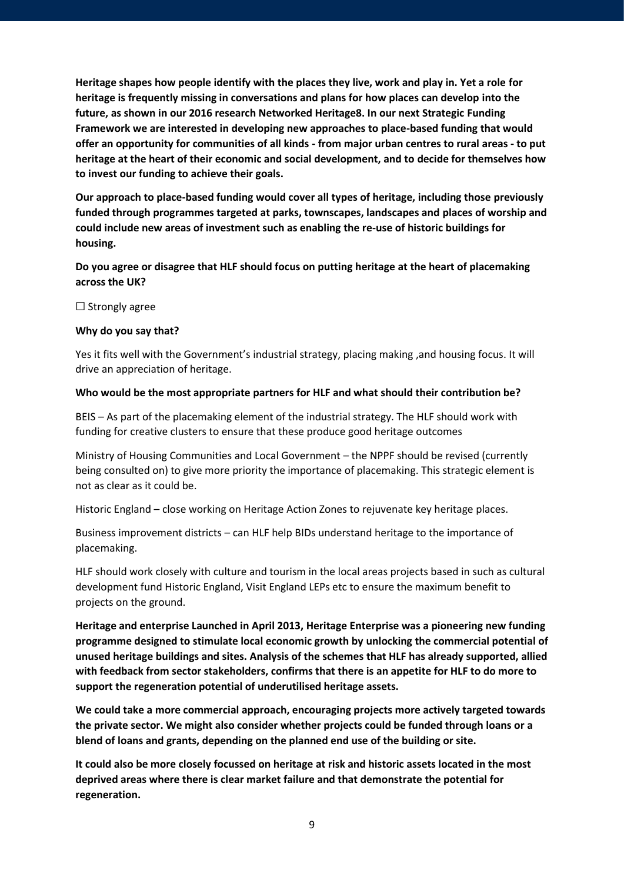**Heritage shapes how people identify with the places they live, work and play in. Yet a role for heritage is frequently missing in conversations and plans for how places can develop into the future, as shown in our 2016 research Networked Heritage8. In our next Strategic Funding Framework we are interested in developing new approaches to place-based funding that would offer an opportunity for communities of all kinds - from major urban centres to rural areas - to put heritage at the heart of their economic and social development, and to decide for themselves how to invest our funding to achieve their goals.**

**Our approach to place-based funding would cover all types of heritage, including those previously funded through programmes targeted at parks, townscapes, landscapes and places of worship and could include new areas of investment such as enabling the re-use of historic buildings for housing.**

**Do you agree or disagree that HLF should focus on putting heritage at the heart of placemaking across the UK?**

 $\Box$  Strongly agree

#### **Why do you say that?**

Yes it fits well with the Government's industrial strategy, placing making ,and housing focus. It will drive an appreciation of heritage.

#### **Who would be the most appropriate partners for HLF and what should their contribution be?**

BEIS – As part of the placemaking element of the industrial strategy. The HLF should work with funding for creative clusters to ensure that these produce good heritage outcomes

Ministry of Housing Communities and Local Government – the NPPF should be revised (currently being consulted on) to give more priority the importance of placemaking. This strategic element is not as clear as it could be.

Historic England – close working on Heritage Action Zones to rejuvenate key heritage places.

Business improvement districts – can HLF help BIDs understand heritage to the importance of placemaking.

HLF should work closely with culture and tourism in the local areas projects based in such as cultural development fund Historic England, Visit England LEPs etc to ensure the maximum benefit to projects on the ground.

**Heritage and enterprise Launched in April 2013, Heritage Enterprise was a pioneering new funding programme designed to stimulate local economic growth by unlocking the commercial potential of unused heritage buildings and sites. Analysis of the schemes that HLF has already supported, allied with feedback from sector stakeholders, confirms that there is an appetite for HLF to do more to support the regeneration potential of underutilised heritage assets.** 

**We could take a more commercial approach, encouraging projects more actively targeted towards the private sector. We might also consider whether projects could be funded through loans or a blend of loans and grants, depending on the planned end use of the building or site.** 

**It could also be more closely focussed on heritage at risk and historic assets located in the most deprived areas where there is clear market failure and that demonstrate the potential for regeneration.**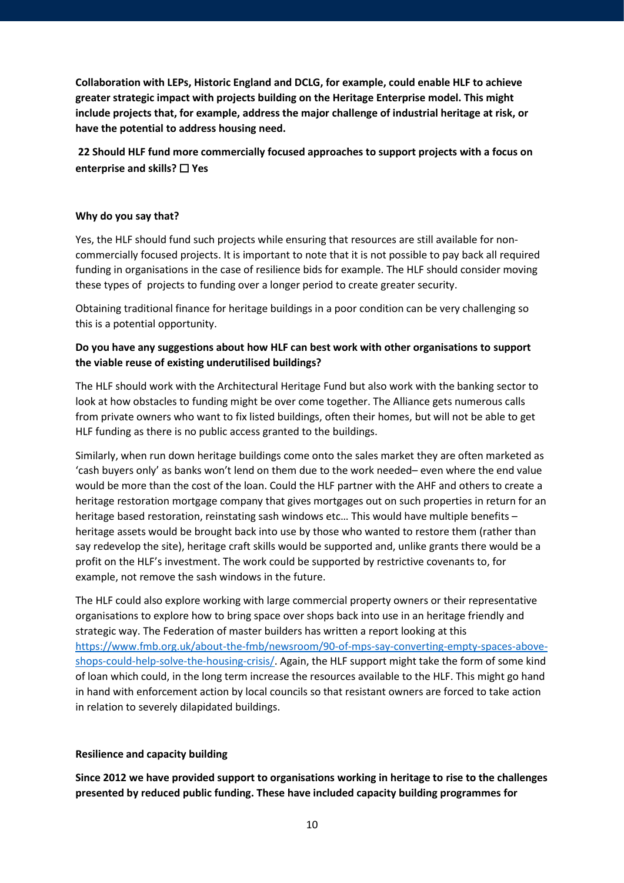**Collaboration with LEPs, Historic England and DCLG, for example, could enable HLF to achieve greater strategic impact with projects building on the Heritage Enterprise model. This might include projects that, for example, address the major challenge of industrial heritage at risk, or have the potential to address housing need.**

**22 Should HLF fund more commercially focused approaches to support projects with a focus on enterprise and skills?** ☐ **Yes** 

## **Why do you say that?**

Yes, the HLF should fund such projects while ensuring that resources are still available for noncommercially focused projects. It is important to note that it is not possible to pay back all required funding in organisations in the case of resilience bids for example. The HLF should consider moving these types of projects to funding over a longer period to create greater security.

Obtaining traditional finance for heritage buildings in a poor condition can be very challenging so this is a potential opportunity.

# **Do you have any suggestions about how HLF can best work with other organisations to support the viable reuse of existing underutilised buildings?**

The HLF should work with the Architectural Heritage Fund but also work with the banking sector to look at how obstacles to funding might be over come together. The Alliance gets numerous calls from private owners who want to fix listed buildings, often their homes, but will not be able to get HLF funding as there is no public access granted to the buildings.

Similarly, when run down heritage buildings come onto the sales market they are often marketed as 'cash buyers only' as banks won't lend on them due to the work needed– even where the end value would be more than the cost of the loan. Could the HLF partner with the AHF and others to create a heritage restoration mortgage company that gives mortgages out on such properties in return for an heritage based restoration, reinstating sash windows etc... This would have multiple benefits heritage assets would be brought back into use by those who wanted to restore them (rather than say redevelop the site), heritage craft skills would be supported and, unlike grants there would be a profit on the HLF's investment. The work could be supported by restrictive covenants to, for example, not remove the sash windows in the future.

The HLF could also explore working with large commercial property owners or their representative organisations to explore how to bring space over shops back into use in an heritage friendly and strategic way. The Federation of master builders has written a report looking at this [https://www.fmb.org.uk/about-the-fmb/newsroom/90-of-mps-say-converting-empty-spaces-above](https://www.fmb.org.uk/about-the-fmb/newsroom/90-of-mps-say-converting-empty-spaces-above-shops-could-help-solve-the-housing-crisis/)[shops-could-help-solve-the-housing-crisis/.](https://www.fmb.org.uk/about-the-fmb/newsroom/90-of-mps-say-converting-empty-spaces-above-shops-could-help-solve-the-housing-crisis/) Again, the HLF support might take the form of some kind of loan which could, in the long term increase the resources available to the HLF. This might go hand in hand with enforcement action by local councils so that resistant owners are forced to take action in relation to severely dilapidated buildings.

## **Resilience and capacity building**

**Since 2012 we have provided support to organisations working in heritage to rise to the challenges presented by reduced public funding. These have included capacity building programmes for**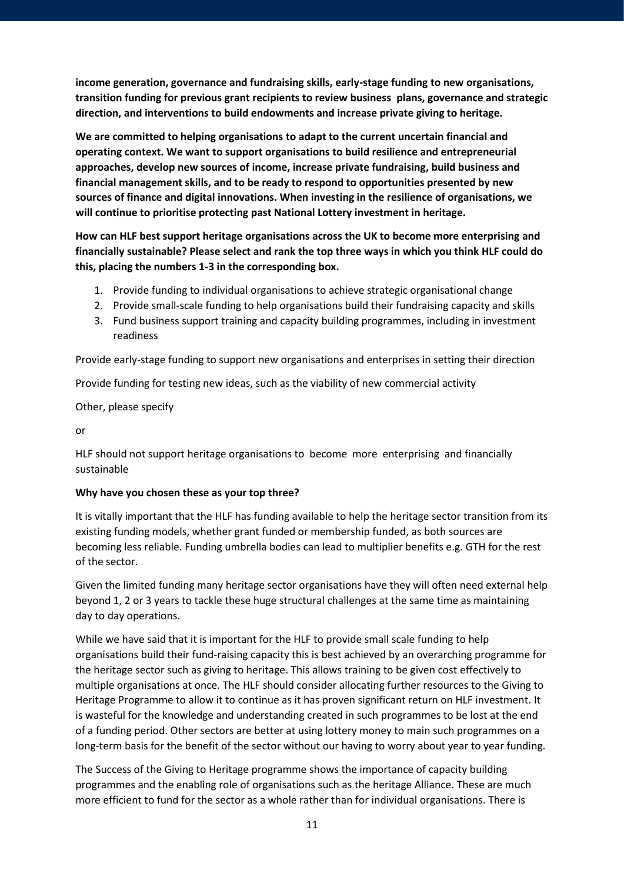**income generation, governance and fundraising skills, early-stage funding to new organisations, transition funding for previous grant recipients to review business plans, governance and strategic direction, and interventions to build endowments and increase private giving to heritage.** 

**We are committed to helping organisations to adapt to the current uncertain financial and operating context. We want to support organisations to build resilience and entrepreneurial approaches, develop new sources of income, increase private fundraising, build business and financial management skills, and to be ready to respond to opportunities presented by new sources of finance and digital innovations. When investing in the resilience of organisations, we will continue to prioritise protecting past National Lottery investment in heritage.**

**How can HLF best support heritage organisations across the UK to become more enterprising and financially sustainable? Please select and rank the top three ways in which you think HLF could do this, placing the numbers 1-3 in the corresponding box.** 

- 1. Provide funding to individual organisations to achieve strategic organisational change
- 2. Provide small-scale funding to help organisations build their fundraising capacity and skills
- 3. Fund business support training and capacity building programmes, including in investment readiness

Provide early-stage funding to support new organisations and enterprises in setting their direction

Provide funding for testing new ideas, such as the viability of new commercial activity

Other, please specify

or

HLF should not support heritage organisations to become more enterprising and financially sustainable

## **Why have you chosen these as your top three?**

It is vitally important that the HLF has funding available to help the heritage sector transition from its existing funding models, whether grant funded or membership funded, as both sources are becoming less reliable. Funding umbrella bodies can lead to multiplier benefits e.g. GTH for the rest of the sector.

Given the limited funding many heritage sector organisations have they will often need external help beyond 1, 2 or 3 years to tackle these huge structural challenges at the same time as maintaining day to day operations.

While we have said that it is important for the HLF to provide small scale funding to help organisations build their fund-raising capacity this is best achieved by an overarching programme for the heritage sector such as giving to heritage. This allows training to be given cost effectively to multiple organisations at once. The HLF should consider allocating further resources to the Giving to Heritage Programme to allow it to continue as it has proven significant return on HLF investment. It is wasteful for the knowledge and understanding created in such programmes to be lost at the end of a funding period. Other sectors are better at using lottery money to main such programmes on a long-term basis for the benefit of the sector without our having to worry about year to year funding.

The Success of the Giving to Heritage programme shows the importance of capacity building programmes and the enabling role of organisations such as the heritage Alliance. These are much more efficient to fund for the sector as a whole rather than for individual organisations. There is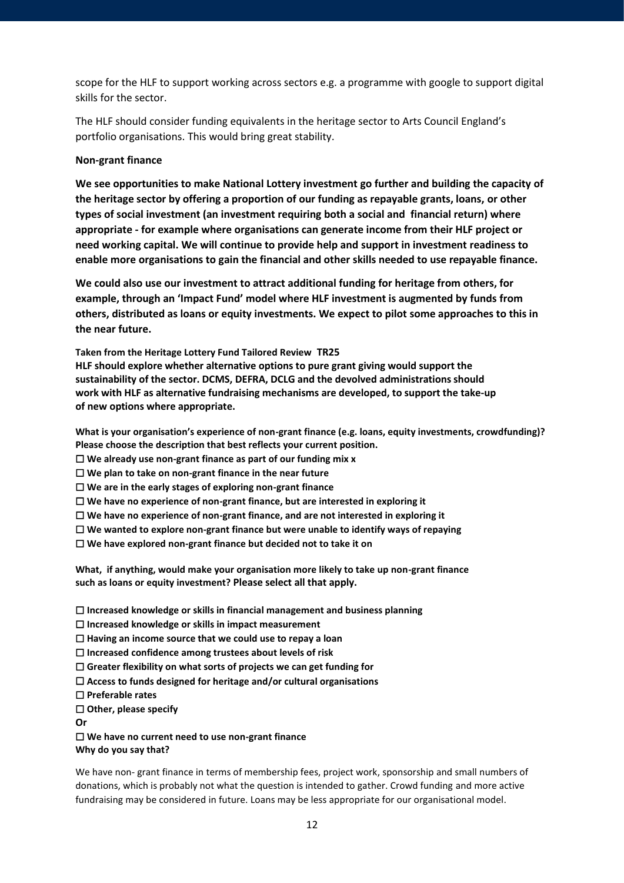scope for the HLF to support working across sectors e.g. a programme with google to support digital skills for the sector.

The HLF should consider funding equivalents in the heritage sector to Arts Council England's portfolio organisations. This would bring great stability.

#### **Non-grant finance**

**We see opportunities to make National Lottery investment go further and building the capacity of the heritage sector by offering a proportion of our funding as repayable grants, loans, or other types of social investment (an investment requiring both a social and financial return) where appropriate - for example where organisations can generate income from their HLF project or need working capital. We will continue to provide help and support in investment readiness to enable more organisations to gain the financial and other skills needed to use repayable finance.** 

**We could also use our investment to attract additional funding for heritage from others, for example, through an 'Impact Fund' model where HLF investment is augmented by funds from others, distributed as loans or equity investments. We expect to pilot some approaches to this in the near future.**

**Taken from the Heritage Lottery Fund Tailored Review TR25**

**HLF should explore whether alternative options to pure grant giving would support the sustainability of the sector. DCMS, DEFRA, DCLG and the devolved administrations should work with HLF as alternative fundraising mechanisms are developed, to support the take-up of new options where appropriate.** 

**What is your organisation's experience of non-grant finance (e.g. loans, equity investments, crowdfunding)? Please choose the description that best reflects your current position.** 

☐ **We already use non-grant finance as part of our funding mix x**

☐ **We plan to take on non-grant finance in the near future** 

☐ **We are in the early stages of exploring non-grant finance** 

☐ **We have no experience of non-grant finance, but are interested in exploring it** 

☐ **We have no experience of non-grant finance, and are not interested in exploring it** 

☐ **We wanted to explore non-grant finance but were unable to identify ways of repaying**

☐ **We have explored non-grant finance but decided not to take it on** 

**What, if anything, would make your organisation more likely to take up non-grant finance such as loans or equity investment? Please select all that apply.**

☐ **Increased knowledge or skills in financial management and business planning** 

☐ **Increased knowledge or skills in impact measurement** 

☐ **Having an income source that we could use to repay a loan**

☐ **Increased confidence among trustees about levels of risk** 

☐ **Greater flexibility on what sorts of projects we can get funding for** 

☐ **Access to funds designed for heritage and/or cultural organisations** 

☐ **Preferable rates** 

☐ **Other, please specify**

**Or**

☐ **We have no current need to use non-grant finance Why do you say that?**

We have non- grant finance in terms of membership fees, project work, sponsorship and small numbers of donations, which is probably not what the question is intended to gather. Crowd funding and more active fundraising may be considered in future. Loans may be less appropriate for our organisational model.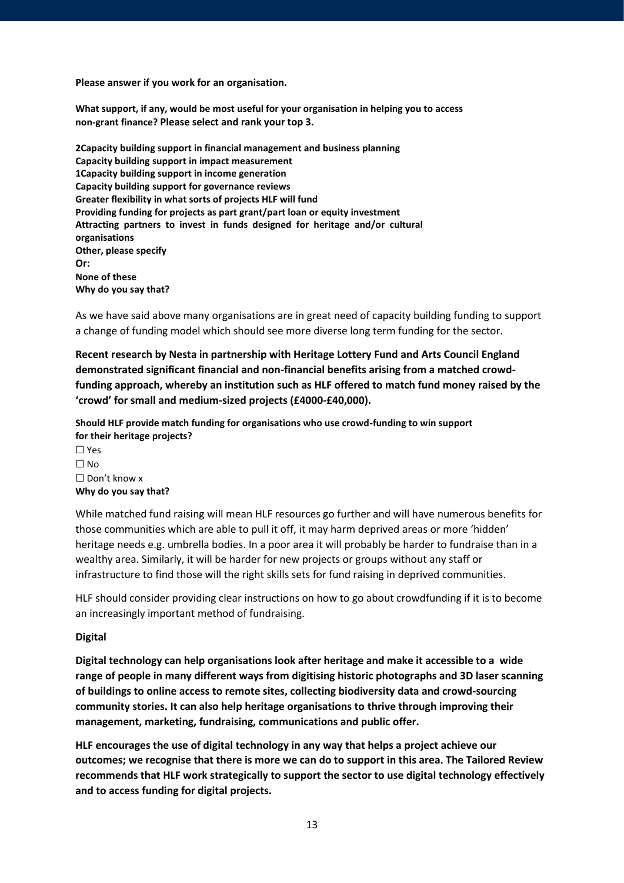**Please answer if you work for an organisation.**

**What support, if any, would be most useful for your organisation in helping you to access non-grant finance? Please select and rank your top 3.**

**2Capacity building support in financial management and business planning Capacity building support in impact measurement 1Capacity building support in income generation Capacity building support for governance reviews Greater flexibility in what sorts of projects HLF will fund Providing funding for projects as part grant/part loan or equity investment Attracting partners to invest in funds designed for heritage and/or cultural organisations Other, please specify Or: None of these Why do you say that?** 

As we have said above many organisations are in great need of capacity building funding to support a change of funding model which should see more diverse long term funding for the sector.

**Recent research by Nesta in partnership with Heritage Lottery Fund and Arts Council England demonstrated significant financial and non-financial benefits arising from a matched crowdfunding approach, whereby an institution such as HLF offered to match fund money raised by the 'crowd' for small and medium-sized projects (£4000-£40,000).**

**Should HLF provide match funding for organisations who use crowd-funding to win support for their heritage projects?** ☐ Yes  $\Box$  No ☐ Don't know x **Why do you say that?**

While matched fund raising will mean HLF resources go further and will have numerous benefits for those communities which are able to pull it off, it may harm deprived areas or more 'hidden' heritage needs e.g. umbrella bodies. In a poor area it will probably be harder to fundraise than in a wealthy area. Similarly, it will be harder for new projects or groups without any staff or infrastructure to find those will the right skills sets for fund raising in deprived communities.

HLF should consider providing clear instructions on how to go about crowdfunding if it is to become an increasingly important method of fundraising.

## **Digital**

**Digital technology can help organisations look after heritage and make it accessible to a wide range of people in many different ways from digitising historic photographs and 3D laser scanning of buildings to online access to remote sites, collecting biodiversity data and crowd-sourcing community stories. It can also help heritage organisations to thrive through improving their management, marketing, fundraising, communications and public offer.**

**HLF encourages the use of digital technology in any way that helps a project achieve our outcomes; we recognise that there is more we can do to support in this area. The Tailored Review recommends that HLF work strategically to support the sector to use digital technology effectively and to access funding for digital projects.**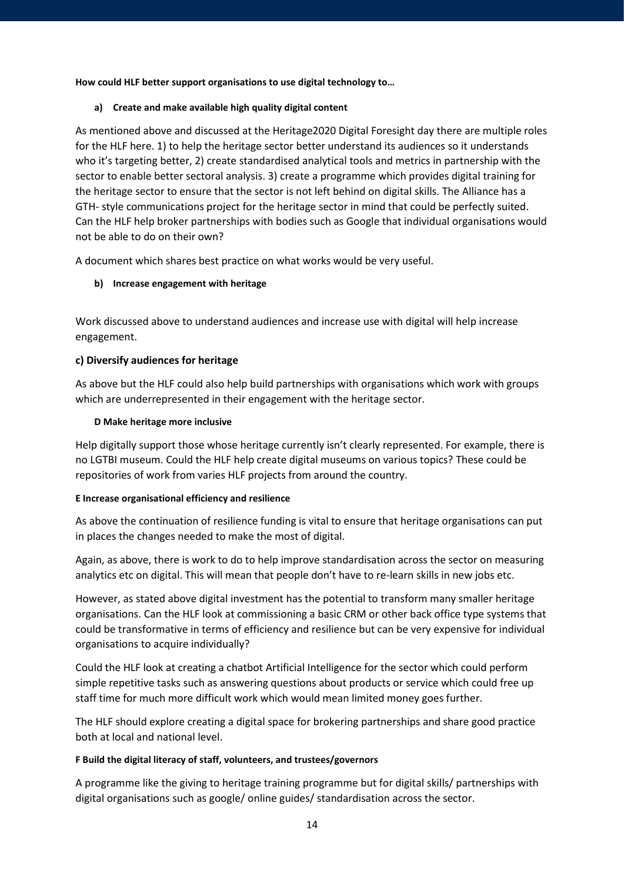**How could HLF better support organisations to use digital technology to…** 

## **a) Create and make available high quality digital content**

As mentioned above and discussed at the Heritage2020 Digital Foresight day there are multiple roles for the HLF here. 1) to help the heritage sector better understand its audiences so it understands who it's targeting better, 2) create standardised analytical tools and metrics in partnership with the sector to enable better sectoral analysis. 3) create a programme which provides digital training for the heritage sector to ensure that the sector is not left behind on digital skills. The Alliance has a GTH- style communications project for the heritage sector in mind that could be perfectly suited. Can the HLF help broker partnerships with bodies such as Google that individual organisations would not be able to do on their own?

A document which shares best practice on what works would be very useful.

# **b) Increase engagement with heritage**

Work discussed above to understand audiences and increase use with digital will help increase engagement.

## **c) Diversify audiences for heritage**

As above but the HLF could also help build partnerships with organisations which work with groups which are underrepresented in their engagement with the heritage sector.

## **D Make heritage more inclusive**

Help digitally support those whose heritage currently isn't clearly represented. For example, there is no LGTBI museum. Could the HLF help create digital museums on various topics? These could be repositories of work from varies HLF projects from around the country.

## **E Increase organisational efficiency and resilience**

As above the continuation of resilience funding is vital to ensure that heritage organisations can put in places the changes needed to make the most of digital.

Again, as above, there is work to do to help improve standardisation across the sector on measuring analytics etc on digital. This will mean that people don't have to re-learn skills in new jobs etc.

However, as stated above digital investment has the potential to transform many smaller heritage organisations. Can the HLF look at commissioning a basic CRM or other back office type systems that could be transformative in terms of efficiency and resilience but can be very expensive for individual organisations to acquire individually?

Could the HLF look at creating a chatbot Artificial Intelligence for the sector which could perform simple repetitive tasks such as answering questions about products or service which could free up staff time for much more difficult work which would mean limited money goes further.

The HLF should explore creating a digital space for brokering partnerships and share good practice both at local and national level.

## **F Build the digital literacy of staff, volunteers, and trustees/governors**

A programme like the giving to heritage training programme but for digital skills/ partnerships with digital organisations such as google/ online guides/ standardisation across the sector.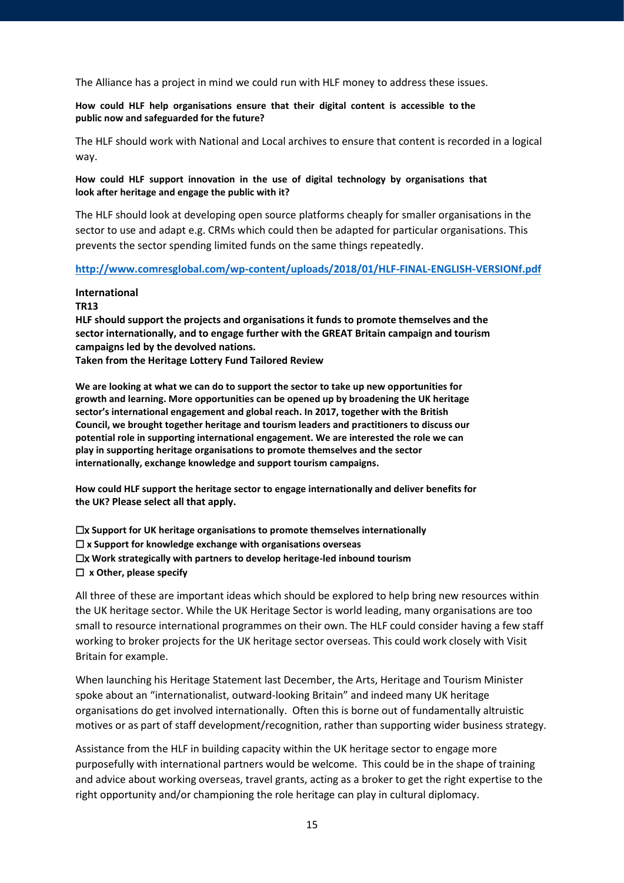The Alliance has a project in mind we could run with HLF money to address these issues.

**How could HLF help organisations ensure that their digital content is accessible to the public now and safeguarded for the future?**

The HLF should work with National and Local archives to ensure that content is recorded in a logical way.

**How could HLF support innovation in the use of digital technology by organisations that look after heritage and engage the public with it?**

The HLF should look at developing open source platforms cheaply for smaller organisations in the sector to use and adapt e.g. CRMs which could then be adapted for particular organisations. This prevents the sector spending limited funds on the same things repeatedly.

**<http://www.comresglobal.com/wp-content/uploads/2018/01/HLF-FINAL-ENGLISH-VERSIONf.pdf>**

#### **International TR13**

**HLF should support the projects and organisations it funds to promote themselves and the sector internationally, and to engage further with the GREAT Britain campaign and tourism campaigns led by the devolved nations.**

**Taken from the Heritage Lottery Fund Tailored Review**

**We are looking at what we can do to support the sector to take up new opportunities for growth and learning. More opportunities can be opened up by broadening the UK heritage sector's international engagement and global reach. In 2017, together with the British Council, we brought together heritage and tourism leaders and practitioners to discuss our potential role in supporting international engagement. We are interested the role we can play in supporting heritage organisations to promote themselves and the sector internationally, exchange knowledge and support tourism campaigns.** 

**How could HLF support the heritage sector to engage internationally and deliver benefits for the UK? Please select all that apply.**

☐x **Support for UK heritage organisations to promote themselves internationally**  ☐ **x Support for knowledge exchange with organisations overseas**  ☐x **Work strategically with partners to develop heritage-led inbound tourism**  ☐ **x Other, please specify**

All three of these are important ideas which should be explored to help bring new resources within the UK heritage sector. While the UK Heritage Sector is world leading, many organisations are too small to resource international programmes on their own. The HLF could consider having a few staff working to broker projects for the UK heritage sector overseas. This could work closely with Visit Britain for example.

When launching his Heritage Statement last December, the Arts, Heritage and Tourism Minister spoke about an "internationalist, outward-looking Britain" and indeed many UK heritage organisations do get involved internationally. Often this is borne out of fundamentally altruistic motives or as part of staff development/recognition, rather than supporting wider business strategy.

Assistance from the HLF in building capacity within the UK heritage sector to engage more purposefully with international partners would be welcome. This could be in the shape of training and advice about working overseas, travel grants, acting as a broker to get the right expertise to the right opportunity and/or championing the role heritage can play in cultural diplomacy.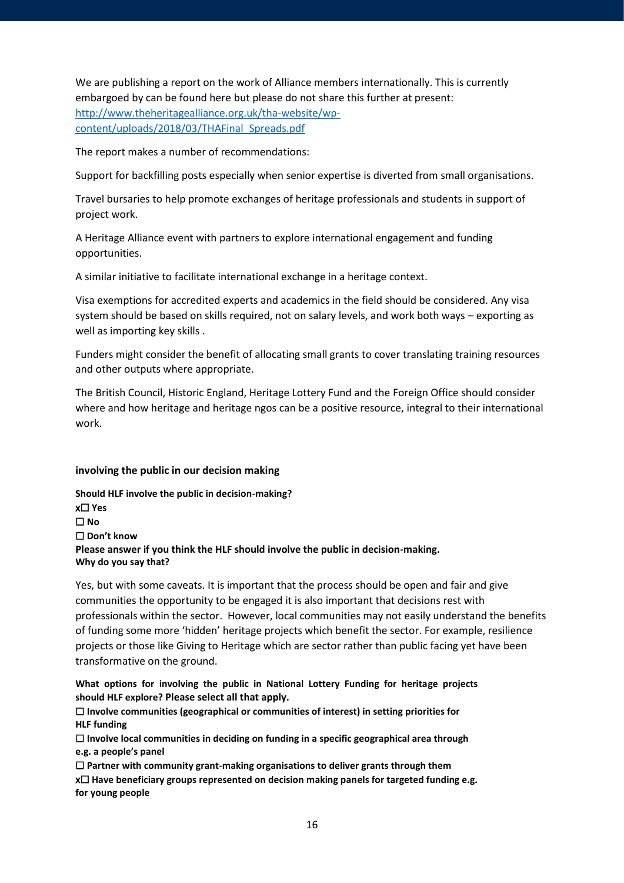We are publishing a report on the work of Alliance members internationally. This is currently embargoed by can be found here but please do not share this further at present: [http://www.theheritagealliance.org.uk/tha-website/wp](http://www.theheritagealliance.org.uk/tha-website/wp-content/uploads/2018/03/THAFinal_Spreads.pdf)[content/uploads/2018/03/THAFinal\\_Spreads.pdf](http://www.theheritagealliance.org.uk/tha-website/wp-content/uploads/2018/03/THAFinal_Spreads.pdf)

The report makes a number of recommendations:

Support for backfilling posts especially when senior expertise is diverted from small organisations.

Travel bursaries to help promote exchanges of heritage professionals and students in support of project work.

A Heritage Alliance event with partners to explore international engagement and funding opportunities.

A similar initiative to facilitate international exchange in a heritage context.

Visa exemptions for accredited experts and academics in the field should be considered. Any visa system should be based on skills required, not on salary levels, and work both ways – exporting as well as importing key skills .

Funders might consider the benefit of allocating small grants to cover translating training resources and other outputs where appropriate.

The British Council, Historic England, Heritage Lottery Fund and the Foreign Office should consider where and how heritage and heritage ngos can be a positive resource, integral to their international work.

## **involving the public in our decision making**

**Should HLF involve the public in decision-making?** x☐ **Yes** ☐ **No**  ☐ **Don't know Please answer if you think the HLF should involve the public in decision-making. Why do you say that?**

Yes, but with some caveats. It is important that the process should be open and fair and give communities the opportunity to be engaged it is also important that decisions rest with professionals within the sector. However, local communities may not easily understand the benefits of funding some more 'hidden' heritage projects which benefit the sector. For example, resilience projects or those like Giving to Heritage which are sector rather than public facing yet have been transformative on the ground.

**What options for involving the public in National Lottery Funding for heritage projects should HLF explore? Please select all that apply.**

☐ **Involve communities (geographical or communities of interest) in setting priorities for HLF funding**

☐ **Involve local communities in deciding on funding in a specific geographical area through e.g. a people's panel**

☐ **Partner with community grant-making organisations to deliver grants through them** x☐ **Have beneficiary groups represented on decision making panels for targeted funding e.g. for young people**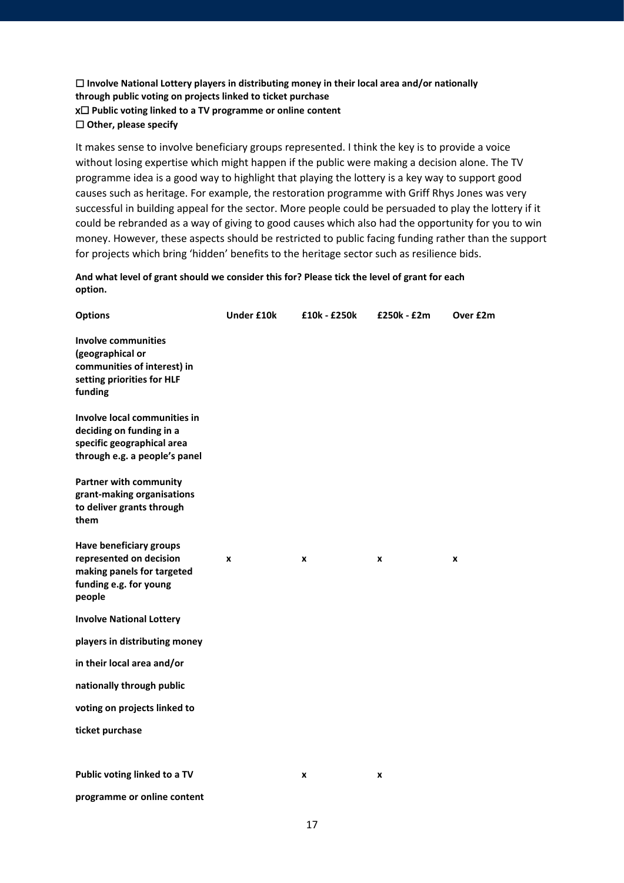## ☐ **Involve National Lottery players in distributing money in their local area and/or nationally through public voting on projects linked to ticket purchase** x☐ **Public voting linked to a TV programme or online content** ☐ **Other, please specify**

It makes sense to involve beneficiary groups represented. I think the key is to provide a voice without losing expertise which might happen if the public were making a decision alone. The TV programme idea is a good way to highlight that playing the lottery is a key way to support good causes such as heritage. For example, the restoration programme with Griff Rhys Jones was very successful in building appeal for the sector. More people could be persuaded to play the lottery if it could be rebranded as a way of giving to good causes which also had the opportunity for you to win money. However, these aspects should be restricted to public facing funding rather than the support for projects which bring 'hidden' benefits to the heritage sector such as resilience bids.

**And what level of grant should we consider this for? Please tick the level of grant for each option.**

| <b>Options</b>                                                                                                              | <b>Under £10k</b> | £10k - £250k | £250k - £2m | Over £2m         |
|-----------------------------------------------------------------------------------------------------------------------------|-------------------|--------------|-------------|------------------|
| <b>Involve communities</b><br>(geographical or<br>communities of interest) in<br>setting priorities for HLF<br>funding      |                   |              |             |                  |
| Involve local communities in<br>deciding on funding in a<br>specific geographical area<br>through e.g. a people's panel     |                   |              |             |                  |
| <b>Partner with community</b><br>grant-making organisations<br>to deliver grants through<br>them                            |                   |              |             |                  |
| <b>Have beneficiary groups</b><br>represented on decision<br>making panels for targeted<br>funding e.g. for young<br>people | X                 | x            | X           | $\boldsymbol{x}$ |
| <b>Involve National Lottery</b>                                                                                             |                   |              |             |                  |
| players in distributing money                                                                                               |                   |              |             |                  |
| in their local area and/or                                                                                                  |                   |              |             |                  |
| nationally through public                                                                                                   |                   |              |             |                  |
| voting on projects linked to                                                                                                |                   |              |             |                  |
| ticket purchase                                                                                                             |                   |              |             |                  |
| Public voting linked to a TV                                                                                                |                   | x            | x           |                  |
| programme or online content                                                                                                 |                   |              |             |                  |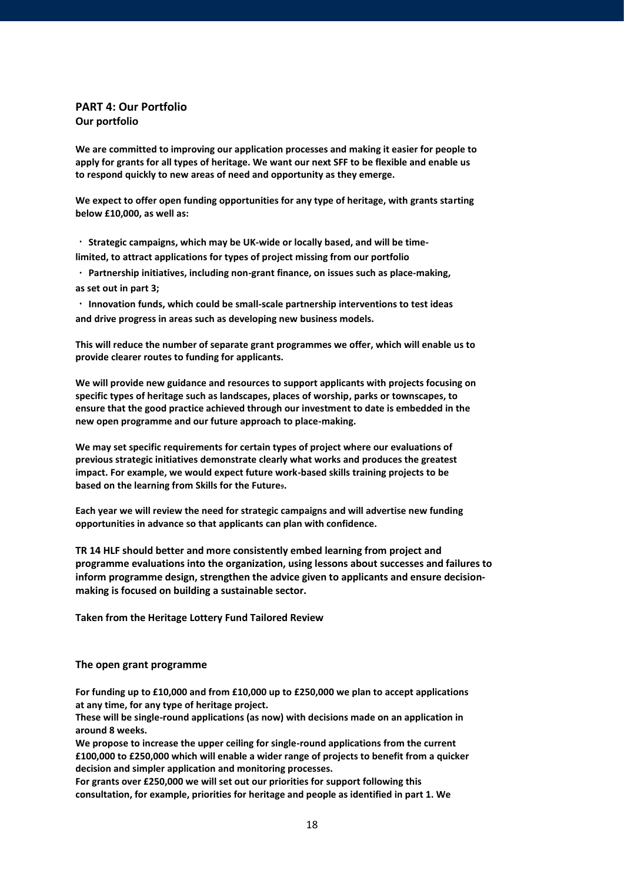## **PART 4: Our Portfolio Our portfolio**

**We are committed to improving our application processes and making it easier for people to apply for grants for all types of heritage. We want our next SFF to be flexible and enable us to respond quickly to new areas of need and opportunity as they emerge.** 

**We expect to offer open funding opportunities for any type of heritage, with grants starting below £10,000, as well as:**

**Strategic campaigns, which may be UK-wide or locally based, and will be timelimited, to attract applications for types of project missing from our portfolio**

**Partnership initiatives, including non-grant finance, on issues such as place-making, as set out in part 3;**

**Innovation funds, which could be small-scale partnership interventions to test ideas and drive progress in areas such as developing new business models.** 

**This will reduce the number of separate grant programmes we offer, which will enable us to provide clearer routes to funding for applicants.** 

**We will provide new guidance and resources to support applicants with projects focusing on specific types of heritage such as landscapes, places of worship, parks or townscapes, to ensure that the good practice achieved through our investment to date is embedded in the new open programme and our future approach to place-making.** 

**We may set specific requirements for certain types of project where our evaluations of previous strategic initiatives demonstrate clearly what works and produces the greatest impact. For example, we would expect future work-based skills training projects to be based on the learning from Skills for the Future9.** 

**Each year we will review the need for strategic campaigns and will advertise new funding opportunities in advance so that applicants can plan with confidence.**

**TR 14 HLF should better and more consistently embed learning from project and programme evaluations into the organization, using lessons about successes and failures to inform programme design, strengthen the advice given to applicants and ensure decisionmaking is focused on building a sustainable sector.** 

**Taken from the Heritage Lottery Fund Tailored Review**

#### **The open grant programme**

**For funding up to £10,000 and from £10,000 up to £250,000 we plan to accept applications at any time, for any type of heritage project.** 

**These will be single-round applications (as now) with decisions made on an application in around 8 weeks.** 

**We propose to increase the upper ceiling for single-round applications from the current £100,000 to £250,000 which will enable a wider range of projects to benefit from a quicker decision and simpler application and monitoring processes.** 

**For grants over £250,000 we will set out our priorities for support following this consultation, for example, priorities for heritage and people as identified in part 1. We**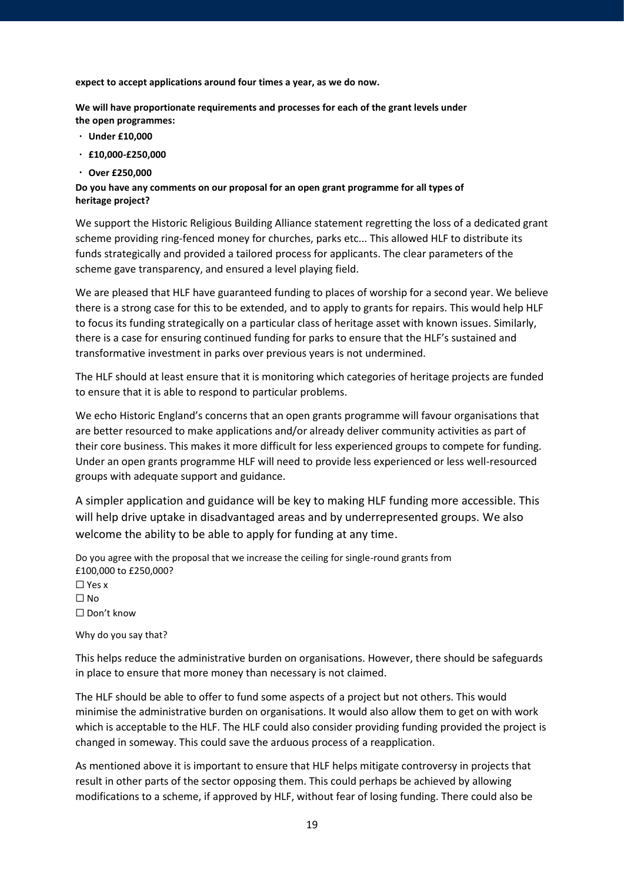**expect to accept applications around four times a year, as we do now.** 

**We will have proportionate requirements and processes for each of the grant levels under the open programmes:** 

- **Under £10,000**
- **£10,000-£250,000**
- **Over £250,000**

#### **Do you have any comments on our proposal for an open grant programme for all types of heritage project?**

We support the Historic Religious Building Alliance statement regretting the loss of a dedicated grant scheme providing ring-fenced money for churches, parks etc... This allowed HLF to distribute its funds strategically and provided a tailored process for applicants. The clear parameters of the scheme gave transparency, and ensured a level playing field.

We are pleased that HLF have guaranteed funding to places of worship for a second year. We believe there is a strong case for this to be extended, and to apply to grants for repairs. This would help HLF to focus its funding strategically on a particular class of heritage asset with known issues. Similarly, there is a case for ensuring continued funding for parks to ensure that the HLF's sustained and transformative investment in parks over previous years is not undermined.

The HLF should at least ensure that it is monitoring which categories of heritage projects are funded to ensure that it is able to respond to particular problems.

We echo Historic England's concerns that an open grants programme will favour organisations that are better resourced to make applications and/or already deliver community activities as part of their core business. This makes it more difficult for less experienced groups to compete for funding. Under an open grants programme HLF will need to provide less experienced or less well-resourced groups with adequate support and guidance.

A simpler application and guidance will be key to making HLF funding more accessible. This will help drive uptake in disadvantaged areas and by underrepresented groups. We also welcome the ability to be able to apply for funding at any time.

Do you agree with the proposal that we increase the ceiling for single-round grants from £100,000 to £250,000? ☐ Yes x  $\Box$  No. ☐ Don't know

Why do you say that?

This helps reduce the administrative burden on organisations. However, there should be safeguards in place to ensure that more money than necessary is not claimed.

The HLF should be able to offer to fund some aspects of a project but not others. This would minimise the administrative burden on organisations. It would also allow them to get on with work which is acceptable to the HLF. The HLF could also consider providing funding provided the project is changed in someway. This could save the arduous process of a reapplication.

As mentioned above it is important to ensure that HLF helps mitigate controversy in projects that result in other parts of the sector opposing them. This could perhaps be achieved by allowing modifications to a scheme, if approved by HLF, without fear of losing funding. There could also be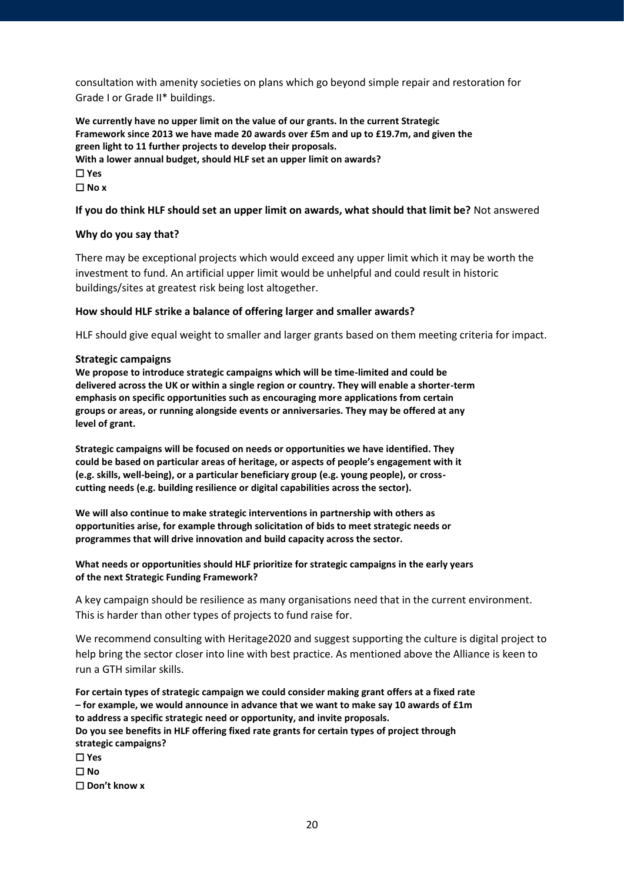consultation with amenity societies on plans which go beyond simple repair and restoration for Grade I or Grade II\* buildings.

**We currently have no upper limit on the value of our grants. In the current Strategic Framework since 2013 we have made 20 awards over £5m and up to £19.7m, and given the green light to 11 further projects to develop their proposals. With a lower annual budget, should HLF set an upper limit on awards?**  ☐ **Yes** ☐ **No x**

#### **If you do think HLF should set an upper limit on awards, what should that limit be?** Not answered

#### **Why do you say that?**

There may be exceptional projects which would exceed any upper limit which it may be worth the investment to fund. An artificial upper limit would be unhelpful and could result in historic buildings/sites at greatest risk being lost altogether.

#### **How should HLF strike a balance of offering larger and smaller awards?**

HLF should give equal weight to smaller and larger grants based on them meeting criteria for impact.

#### **Strategic campaigns**

**We propose to introduce strategic campaigns which will be time-limited and could be delivered across the UK or within a single region or country. They will enable a shorter-term emphasis on specific opportunities such as encouraging more applications from certain groups or areas, or running alongside events or anniversaries. They may be offered at any level of grant.** 

**Strategic campaigns will be focused on needs or opportunities we have identified. They could be based on particular areas of heritage, or aspects of people's engagement with it (e.g. skills, well-being), or a particular beneficiary group (e.g. young people), or crosscutting needs (e.g. building resilience or digital capabilities across the sector).** 

**We will also continue to make strategic interventions in partnership with others as opportunities arise, for example through solicitation of bids to meet strategic needs or programmes that will drive innovation and build capacity across the sector.**

#### **What needs or opportunities should HLF prioritize for strategic campaigns in the early years of the next Strategic Funding Framework?**

A key campaign should be resilience as many organisations need that in the current environment. This is harder than other types of projects to fund raise for.

We recommend consulting with Heritage2020 and suggest supporting the culture is digital project to help bring the sector closer into line with best practice. As mentioned above the Alliance is keen to run a GTH similar skills.

**For certain types of strategic campaign we could consider making grant offers at a fixed rate – for example, we would announce in advance that we want to make say 10 awards of £1m to address a specific strategic need or opportunity, and invite proposals. Do you see benefits in HLF offering fixed rate grants for certain types of project through strategic campaigns?**  ☐ **Yes** ☐ **No**  ☐ **Don't know x**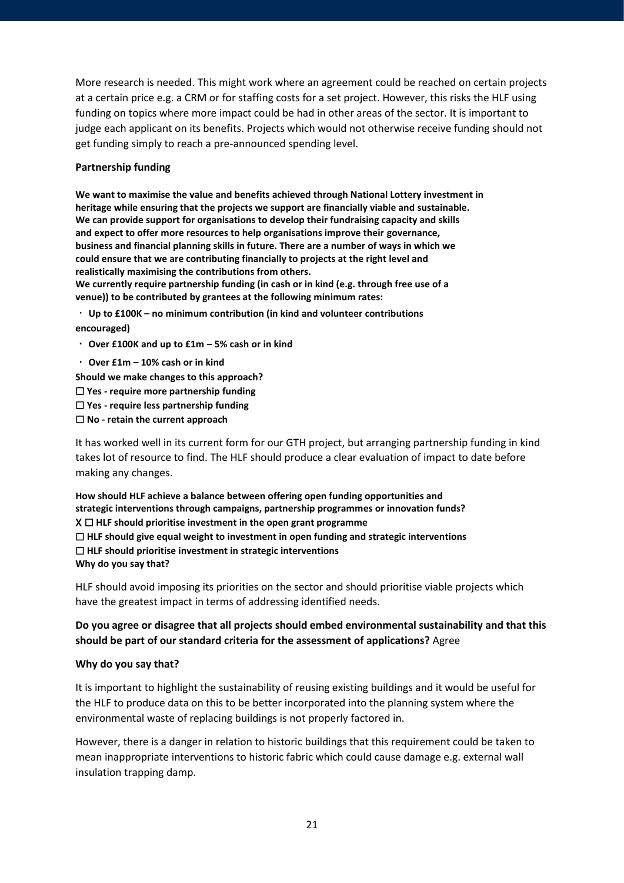More research is needed. This might work where an agreement could be reached on certain projects at a certain price e.g. a CRM or for staffing costs for a set project. However, this risks the HLF using funding on topics where more impact could be had in other areas of the sector. It is important to judge each applicant on its benefits. Projects which would not otherwise receive funding should not get funding simply to reach a pre-announced spending level.

## **Partnership funding**

**We want to maximise the value and benefits achieved through National Lottery investment in heritage while ensuring that the projects we support are financially viable and sustainable. We can provide support for organisations to develop their fundraising capacity and skills and expect to offer more resources to help organisations improve their governance, business and financial planning skills in future. There are a number of ways in which we could ensure that we are contributing financially to projects at the right level and realistically maximising the contributions from others.** 

**We currently require partnership funding (in cash or in kind (e.g. through free use of a venue)) to be contributed by grantees at the following minimum rates:** 

**Up to £100K – no minimum contribution (in kind and volunteer contributions** 

**encouraged)**

- **Over £100K and up to £1m – 5% cash or in kind**
- **Over £1m – 10% cash or in kind**

**Should we make changes to this approach?**

- ☐ **Yes - require more partnership funding**
- ☐ **Yes - require less partnership funding**
- ☐ **No - retain the current approach**

It has worked well in its current form for our GTH project, but arranging partnership funding in kind takes lot of resource to find. The HLF should produce a clear evaluation of impact to date before making any changes.

**How should HLF achieve a balance between offering open funding opportunities and strategic interventions through campaigns, partnership programmes or innovation funds?** X ☐ **HLF should prioritise investment in the open grant programme**  ☐ **HLF should give equal weight to investment in open funding and strategic interventions**  ☐ **HLF should prioritise investment in strategic interventions Why do you say that?**

HLF should avoid imposing its priorities on the sector and should prioritise viable projects which have the greatest impact in terms of addressing identified needs.

# **Do you agree or disagree that all projects should embed environmental sustainability and that this should be part of our standard criteria for the assessment of applications?** Agree

# **Why do you say that?**

It is important to highlight the sustainability of reusing existing buildings and it would be useful for the HLF to produce data on this to be better incorporated into the planning system where the environmental waste of replacing buildings is not properly factored in.

However, there is a danger in relation to historic buildings that this requirement could be taken to mean inappropriate interventions to historic fabric which could cause damage e.g. external wall insulation trapping damp.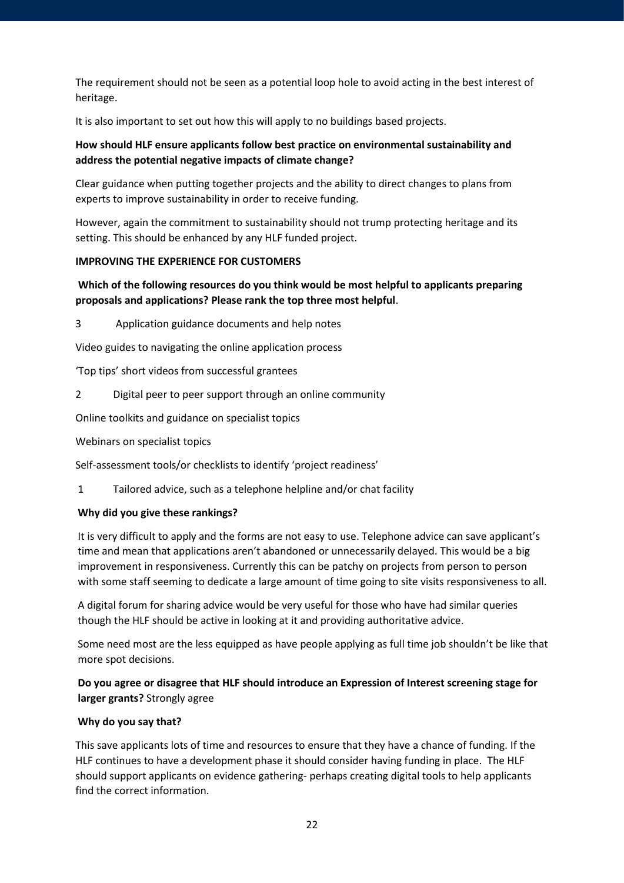The requirement should not be seen as a potential loop hole to avoid acting in the best interest of heritage.

It is also important to set out how this will apply to no buildings based projects.

# **How should HLF ensure applicants follow best practice on environmental sustainability and address the potential negative impacts of climate change?**

Clear guidance when putting together projects and the ability to direct changes to plans from experts to improve sustainability in order to receive funding.

However, again the commitment to sustainability should not trump protecting heritage and its setting. This should be enhanced by any HLF funded project.

## **IMPROVING THE EXPERIENCE FOR CUSTOMERS**

# **Which of the following resources do you think would be most helpful to applicants preparing proposals and applications? Please rank the top three most helpful**.

3 Application guidance documents and help notes

Video guides to navigating the online application process

'Top tips' short videos from successful grantees

2 Digital peer to peer support through an online community

Online toolkits and guidance on specialist topics

Webinars on specialist topics

Self-assessment tools/or checklists to identify 'project readiness'

1 Tailored advice, such as a telephone helpline and/or chat facility

## **Why did you give these rankings?**

It is very difficult to apply and the forms are not easy to use. Telephone advice can save applicant's time and mean that applications aren't abandoned or unnecessarily delayed. This would be a big improvement in responsiveness. Currently this can be patchy on projects from person to person with some staff seeming to dedicate a large amount of time going to site visits responsiveness to all.

A digital forum for sharing advice would be very useful for those who have had similar queries though the HLF should be active in looking at it and providing authoritative advice.

Some need most are the less equipped as have people applying as full time job shouldn't be like that more spot decisions.

# **Do you agree or disagree that HLF should introduce an Expression of Interest screening stage for larger grants?** Strongly agree

## **Why do you say that?**

This save applicants lots of time and resources to ensure that they have a chance of funding. If the HLF continues to have a development phase it should consider having funding in place. The HLF should support applicants on evidence gathering- perhaps creating digital tools to help applicants find the correct information.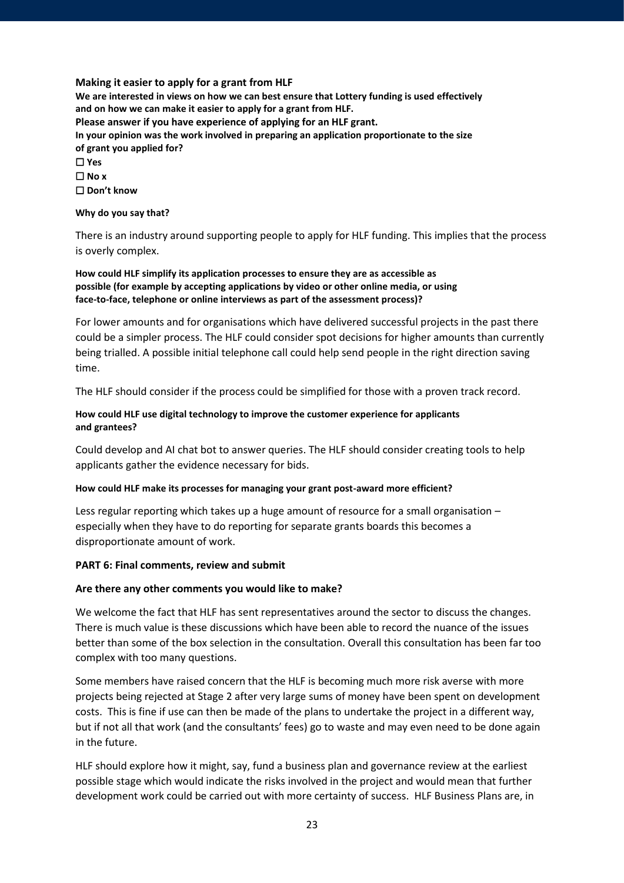#### **Making it easier to apply for a grant from HLF**

**We are interested in views on how we can best ensure that Lottery funding is used effectively and on how we can make it easier to apply for a grant from HLF. Please answer if you have experience of applying for an HLF grant. In your opinion was the work involved in preparing an application proportionate to the size of grant you applied for?** ☐ **Yes** ☐ **No x** ☐ **Don't know**

**Why do you say that?**

There is an industry around supporting people to apply for HLF funding. This implies that the process is overly complex.

#### **How could HLF simplify its application processes to ensure they are as accessible as possible (for example by accepting applications by video or other online media, or using face-to-face, telephone or online interviews as part of the assessment process)?**

For lower amounts and for organisations which have delivered successful projects in the past there could be a simpler process. The HLF could consider spot decisions for higher amounts than currently being trialled. A possible initial telephone call could help send people in the right direction saving time.

The HLF should consider if the process could be simplified for those with a proven track record.

## **How could HLF use digital technology to improve the customer experience for applicants and grantees?**

Could develop and AI chat bot to answer queries. The HLF should consider creating tools to help applicants gather the evidence necessary for bids.

## **How could HLF make its processes for managing your grant post-award more efficient?**

Less regular reporting which takes up a huge amount of resource for a small organisation – especially when they have to do reporting for separate grants boards this becomes a disproportionate amount of work.

## **PART 6: Final comments, review and submit**

## **Are there any other comments you would like to make?**

We welcome the fact that HLF has sent representatives around the sector to discuss the changes. There is much value is these discussions which have been able to record the nuance of the issues better than some of the box selection in the consultation. Overall this consultation has been far too complex with too many questions.

Some members have raised concern that the HLF is becoming much more risk averse with more projects being rejected at Stage 2 after very large sums of money have been spent on development costs. This is fine if use can then be made of the plans to undertake the project in a different way, but if not all that work (and the consultants' fees) go to waste and may even need to be done again in the future.

HLF should explore how it might, say, fund a business plan and governance review at the earliest possible stage which would indicate the risks involved in the project and would mean that further development work could be carried out with more certainty of success. HLF Business Plans are, in